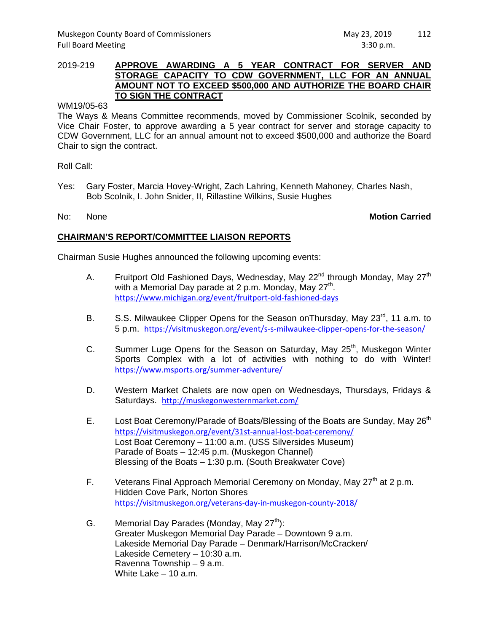## 2019-219 **APPROVE AWARDING A 5 YEAR CONTRACT FOR SERVER AND STORAGE CAPACITY TO CDW GOVERNMENT, LLC FOR AN ANNUAL AMOUNT NOT TO EXCEED \$500,000 AND AUTHORIZE THE BOARD CHAIR TO SIGN THE CONTRACT**

### WM19/05-63

The Ways & Means Committee recommends, moved by Commissioner Scolnik, seconded by Vice Chair Foster, to approve awarding a 5 year contract for server and storage capacity to CDW Government, LLC for an annual amount not to exceed \$500,000 and authorize the Board Chair to sign the contract.

Roll Call:

Yes: Gary Foster, Marcia Hovey-Wright, Zach Lahring, Kenneth Mahoney, Charles Nash, Bob Scolnik, I. John Snider, II, Rillastine Wilkins, Susie Hughes

## No: None **Motion Carried**

# **CHAIRMAN'S REPORT/COMMITTEE LIAISON REPORTS**

Chairman Susie Hughes announced the following upcoming events:

- A. Fruitport Old Fashioned Days, Wednesday, May  $22^{nd}$  through Monday, May  $27^{th}$ with a Memorial Day parade at 2 p.m. Monday, May  $27<sup>th</sup>$ . https://www.michigan.org/event/fruitport‐old‐fashioned‐days
- B. S.S. Milwaukee Clipper Opens for the Season on Thursday, May 23<sup>rd</sup>, 11 a.m. to 5 p.m. https://visitmuskegon.org/event/s‐s‐milwaukee‐clipper‐opens‐for‐the‐season/
- C. Summer Luge Opens for the Season on Saturday, May 25<sup>th</sup>, Muskegon Winter Sports Complex with a lot of activities with nothing to do with Winter! https://www.msports.org/summer‐adventure/
- D. Western Market Chalets are now open on Wednesdays, Thursdays, Fridays & Saturdays. http://muskegonwesternmarket.com/
- E. Lost Boat Ceremony/Parade of Boats/Blessing of the Boats are Sunday, May 26<sup>th</sup> https://visitmuskegon.org/event/31st-annual-lost-boat-ceremony/ Lost Boat Ceremony – 11:00 a.m. (USS Silversides Museum) Parade of Boats – 12:45 p.m. (Muskegon Channel) Blessing of the Boats – 1:30 p.m. (South Breakwater Cove)
- F. Veterans Final Approach Memorial Ceremony on Monday, May  $27<sup>th</sup>$  at 2 p.m. Hidden Cove Park, Norton Shores https://visitmuskegon.org/veterans‐day‐in‐muskegon‐county‐2018/
- G. Memorial Day Parades (Monday, May  $27<sup>th</sup>$ ): Greater Muskegon Memorial Day Parade – Downtown 9 a.m. Lakeside Memorial Day Parade – Denmark/Harrison/McCracken/ Lakeside Cemetery – 10:30 a.m. Ravenna Township – 9 a.m. White Lake – 10 a.m.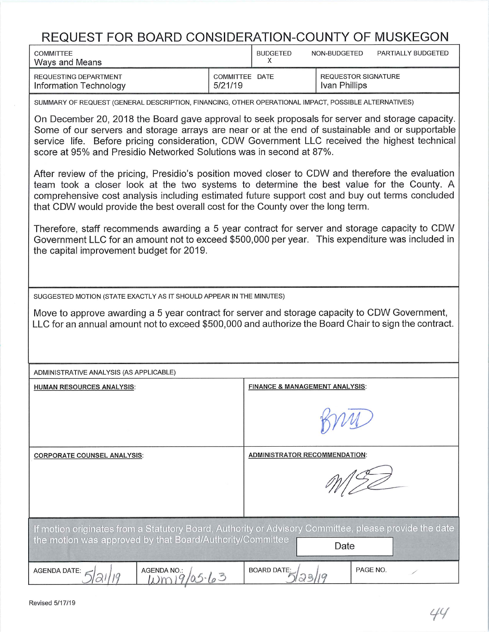| REQUEST FOR BOARD CONSIDERATION-COUNTY OF MUSKEGON                                                                                                                                                                                                                                                                                                                                  |                           |                                           |                                             |          |                    |  |  |  |  |  |
|-------------------------------------------------------------------------------------------------------------------------------------------------------------------------------------------------------------------------------------------------------------------------------------------------------------------------------------------------------------------------------------|---------------------------|-------------------------------------------|---------------------------------------------|----------|--------------------|--|--|--|--|--|
| <b>COMMITTEE</b><br>Ways and Means                                                                                                                                                                                                                                                                                                                                                  |                           | <b>BUDGETED</b><br>X                      | NON-BUDGETED                                |          | PARTIALLY BUDGETED |  |  |  |  |  |
| REQUESTING DEPARTMENT<br>Information Technology                                                                                                                                                                                                                                                                                                                                     | COMMITTEE DATE<br>5/21/19 |                                           | <b>REQUESTOR SIGNATURE</b><br>Ivan Phillips |          |                    |  |  |  |  |  |
| SUMMARY OF REQUEST (GENERAL DESCRIPTION, FINANCING, OTHER OPERATIONAL IMPACT, POSSIBLE ALTERNATIVES)                                                                                                                                                                                                                                                                                |                           |                                           |                                             |          |                    |  |  |  |  |  |
| On December 20, 2018 the Board gave approval to seek proposals for server and storage capacity.<br>Some of our servers and storage arrays are near or at the end of sustainable and or supportable<br>service life. Before pricing consideration, CDW Government LLC received the highest technical<br>score at 95% and Presidio Networked Solutions was in second at 87%.          |                           |                                           |                                             |          |                    |  |  |  |  |  |
| After review of the pricing, Presidio's position moved closer to CDW and therefore the evaluation<br>team took a closer look at the two systems to determine the best value for the County. A<br>comprehensive cost analysis including estimated future support cost and buy out terms concluded<br>that CDW would provide the best overall cost for the County over the long term. |                           |                                           |                                             |          |                    |  |  |  |  |  |
| Therefore, staff recommends awarding a 5 year contract for server and storage capacity to CDW<br>Government LLC for an amount not to exceed \$500,000 per year. This expenditure was included in<br>the capital improvement budget for 2019.                                                                                                                                        |                           |                                           |                                             |          |                    |  |  |  |  |  |
| SUGGESTED MOTION (STATE EXACTLY AS IT SHOULD APPEAR IN THE MINUTES)                                                                                                                                                                                                                                                                                                                 |                           |                                           |                                             |          |                    |  |  |  |  |  |
| Move to approve awarding a 5 year contract for server and storage capacity to CDW Government,<br>LLC for an annual amount not to exceed \$500,000 and authorize the Board Chair to sign the contract.                                                                                                                                                                               |                           |                                           |                                             |          |                    |  |  |  |  |  |
| ADMINISTRATIVE ANALYSIS (AS APPLICABLE)                                                                                                                                                                                                                                                                                                                                             |                           |                                           |                                             |          |                    |  |  |  |  |  |
| <b>HUMAN RESOURCES ANALYSIS:</b>                                                                                                                                                                                                                                                                                                                                                    |                           | <b>FINANCE &amp; MANAGEMENT ANALYSIS:</b> |                                             |          |                    |  |  |  |  |  |
|                                                                                                                                                                                                                                                                                                                                                                                     |                           |                                           |                                             |          |                    |  |  |  |  |  |
| <b>CORPORATE COUNSEL ANALYSIS:</b>                                                                                                                                                                                                                                                                                                                                                  |                           | <b>ADMINISTRATOR RECOMMENDATION:</b>      |                                             |          |                    |  |  |  |  |  |
|                                                                                                                                                                                                                                                                                                                                                                                     |                           |                                           |                                             |          |                    |  |  |  |  |  |
| If motion originates from a Statutory Board, Authority or Advisory Committee, please provide the date<br>the motion was approved by that Board/Authority/Committee<br>Date                                                                                                                                                                                                          |                           |                                           |                                             |          |                    |  |  |  |  |  |
| <b>AGENDA DATE:</b><br><b>AGENDA NO.:</b><br>20019/05.63                                                                                                                                                                                                                                                                                                                            |                           | <b>BOARD DATE:</b><br>23/19               |                                             | PAGE NO. |                    |  |  |  |  |  |